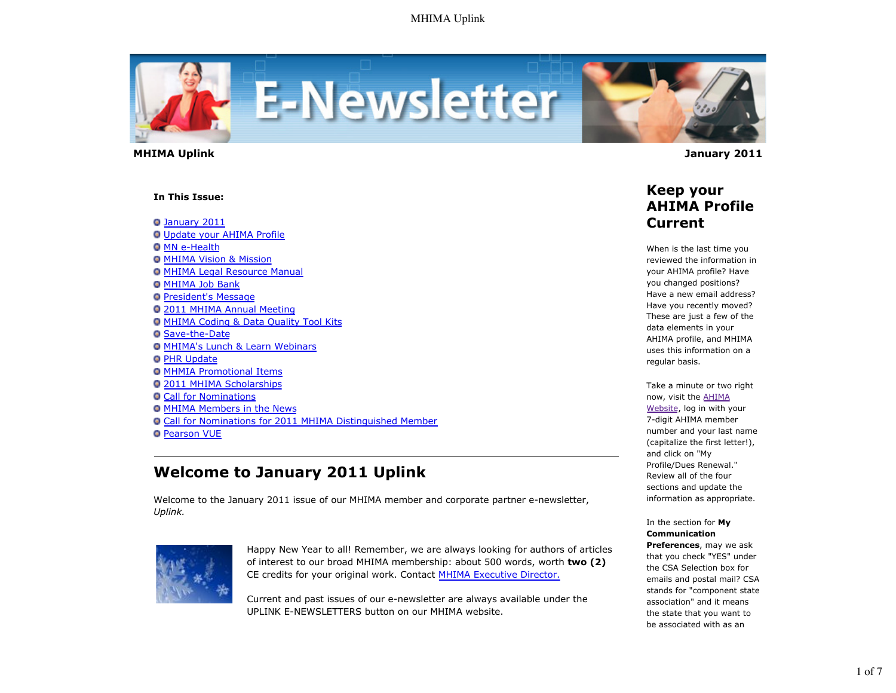

 **MHIMA Uplink January 2011** 

#### **In This Issue:**

January 2011 Update your AHIMA Profile **O** MN e-Health

- MHIMA Vision & Mission
- **O MHIMA Legal Resource Manual**
- **O MHIMA Job Bank**
- **President's Message**
- 2011 MHIMA Annual Meeting
- MHIMA Coding & Data Quality Tool Kits
- Save-the-Date
- **O MHIMA's Lunch & Learn Webinars**
- **O** PHR Update
- MHMIA Promotional Items
- 2011 MHIMA Scholarships
- Call for Nominations
- MHIMA Members in the News
- Call for Nominations for 2011 MHIMA Distinguished Member
- **O** Pearson VUE

# **Welcome to January 2011 Uplink**

Welcome to the January 2011 issue of our MHIMA member and corporate partner e-newsletter, *Uplink.*



Happy New Year to all! Remember, we are always looking for authors of articles of interest to our broad MHIMA membership: about 500 words, worth **two (2)** CE credits for your original work. Contact MHIMA Executive Director.

Current and past issues of our e-newsletter are always available under the UPLINK E-NEWSLETTERS button on our MHIMA website.



### **Keep your AHIMA Profile Current**

When is the last time you reviewed the information in your AHIMA profile? Have you changed positions? Have a new email address? Have you recently moved? These are just a few of the data elements in your AHIMA profile, and MHIMA uses this information on a regular basis.

Take a minute or two right now, visit the AHIMA Website, log in with your 7-digit AHIMA member number and your last name (capitalize the first letter!), and click on "My Profile/Dues Renewal." Review all of the four sections and update the information as appropriate.

In the section for **My Communication Preferences**, may we ask that you check "YES" under

the CSA Selection box for emails and postal mail? CSA stands for "component state association" and it means the state that you want to be associated with as an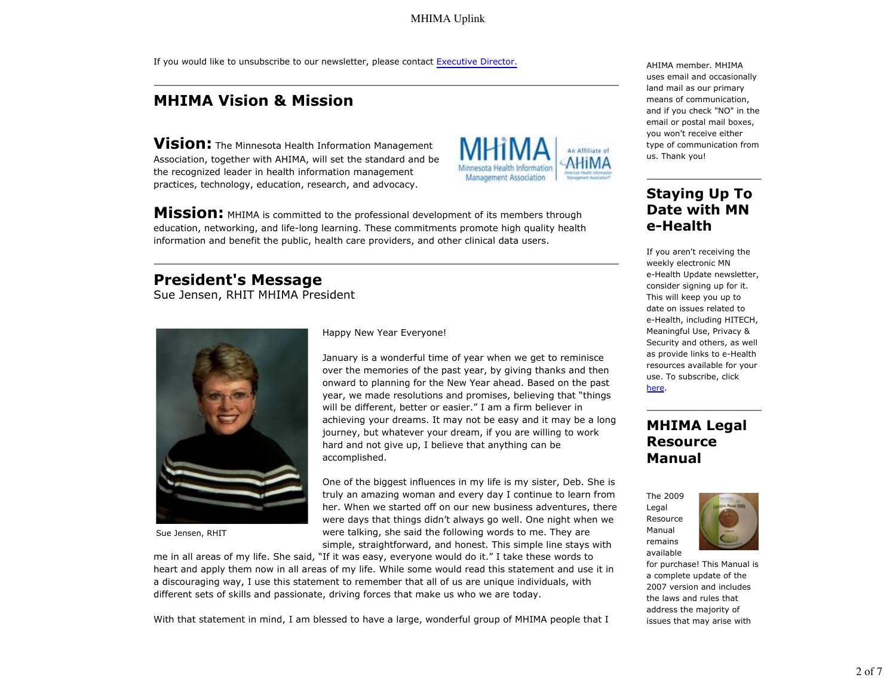MHIMA Uplink

If you would like to unsubscribe to our newsletter, please contact Executive Director.

## **MHIMA Vision & Mission**

**Vision:** The Minnesota Health Information Management Association, together with AHIMA, will set the standard and be the recognized leader in health information management practices, technology, education, research, and advocacy.



**Mission:** MHIMA is committed to the professional development of its members through education, networking, and life-long learning. These commitments promote high quality health information and benefit the public, health care providers, and other clinical data users.

#### **President's Message**

Sue Jensen, RHIT MHIMA President



Sue Jensen, RHIT

Happy New Year Everyone!

January is a wonderful time of year when we get to reminisce over the memories of the past year, by giving thanks and then onward to planning for the New Year ahead. Based on the past year, we made resolutions and promises, believing that "things will be different, better or easier." I am a firm believer in achieving your dreams. It may not be easy and it may be a long journey, but whatever your dream, if you are willing to work hard and not give up, I believe that anything can be accomplished.

One of the biggest influences in my life is my sister, Deb. She is truly an amazing woman and every day I continue to learn from her. When we started off on our new business adventures, there were days that things didn't always go well. One night when we were talking, she said the following words to me. They are simple, straightforward, and honest. This simple line stays with

me in all areas of my life. She said, "If it was easy, everyone would do it." I take these words to heart and apply them now in all areas of my life. While some would read this statement and use it in a discouraging way, I use this statement to remember that all of us are unique individuals, with different sets of skills and passionate, driving forces that make us who we are today.

AHIMA member. MHIMA uses email and occasionally land mail as our primary means of communication, and if you check "NO" in the email or postal mail boxes, you won't receive either type of communication from us. Thank you!

### **Staying Up To Date with MN e-Health**

If you aren't receiving the weekly electronic MN e-Health Update newsletter, consider signing up for it. This will keep you up to date on issues related to e-Health, including HITECH, Meaningful Use, Privacy & Security and others, as well as provide links to e-Health resources available for your use. To subscribe, click here.

## **MHIMA Legal Resource Manual**

The 2009 Legal Resource Manual remains available



for purchase! This Manual is a complete update of the 2007 version and includes the laws and rules that address the majority of issues that may arise with

With that statement in mind, I am blessed to have a large, wonderful group of MHIMA people that I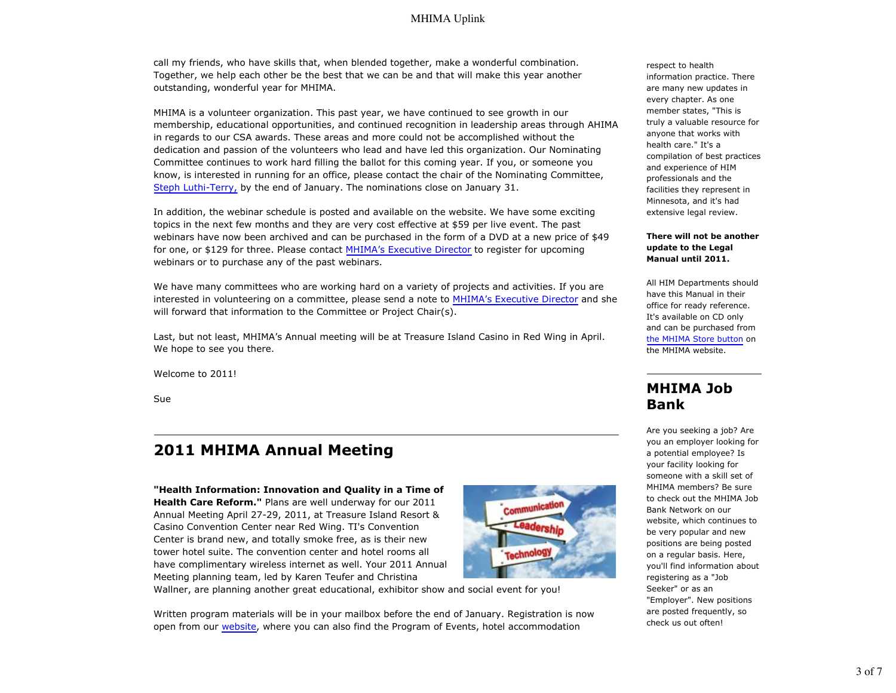call my friends, who have skills that, when blended together, make a wonderful combination. Together, we help each other be the best that we can be and that will make this year another outstanding, wonderful year for MHIMA.

MHIMA is a volunteer organization. This past year, we have continued to see growth in our membership, educational opportunities, and continued recognition in leadership areas through AHIMA in regards to our CSA awards. These areas and more could not be accomplished without the dedication and passion of the volunteers who lead and have led this organization. Our Nominating Committee continues to work hard filling the ballot for this coming year. If you, or someone you know, is interested in running for an office, please contact the chair of the Nominating Committee, Steph Luthi-Terry, by the end of January. The nominations close on January 31.

In addition, the webinar schedule is posted and available on the website. We have some exciting topics in the next few months and they are very cost effective at \$59 per live event. The past webinars have now been archived and can be purchased in the form of a DVD at a new price of \$49 for one, or \$129 for three. Please contact MHIMA's Executive Director to register for upcoming webinars or to purchase any of the past webinars.

We have many committees who are working hard on a variety of projects and activities. If you are interested in volunteering on a committee, please send a note to MHIMA's Executive Director and she will forward that information to the Committee or Project Chair(s).

Last, but not least, MHIMA's Annual meeting will be at Treasure Island Casino in Red Wing in April. We hope to see you there.

Welcome to 2011!

Sue

## **2011 MHIMA Annual Meeting**

**"Health Information: Innovation and Quality in a Time of Health Care Reform."** Plans are well underway for our 2011 Annual Meeting April 27-29, 2011, at Treasure Island Resort & Casino Convention Center near Red Wing. TI's Convention Center is brand new, and totally smoke free, as is their new tower hotel suite. The convention center and hotel rooms all have complimentary wireless internet as well. Your 2011 Annual Meeting planning team, led by Karen Teufer and Christina



Wallner, are planning another great educational, exhibitor show and social event for you!

Written program materials will be in your mailbox before the end of January. Registration is now open from our website, where you can also find the Program of Events, hotel accommodation

respect to health information practice. There are many new updates in every chapter. As one member states, "This is truly a valuable resource for anyone that works with health care." It's a compilation of best practices and experience of HIM professionals and the facilities they represent in Minnesota, and it's had extensive legal review.

#### **There will not be another update to the Legal Manual until 2011.**

All HIM Departments should have this Manual in their office for ready reference. It's available on CD only and can be purchased from the MHIMA Store button on the MHIMA website.

## **MHIMA Job Bank**

Are you seeking a job? Are you an employer looking for a potential employee? Is your facility looking for someone with a skill set of MHIMA members? Be sure to check out the MHIMA Job Bank Network on our website, which continues to be very popular and new positions are being posted on a regular basis. Here, you'll find information about registering as a "Job Seeker" or as an "Employer". New positions are posted frequently, so check us out often!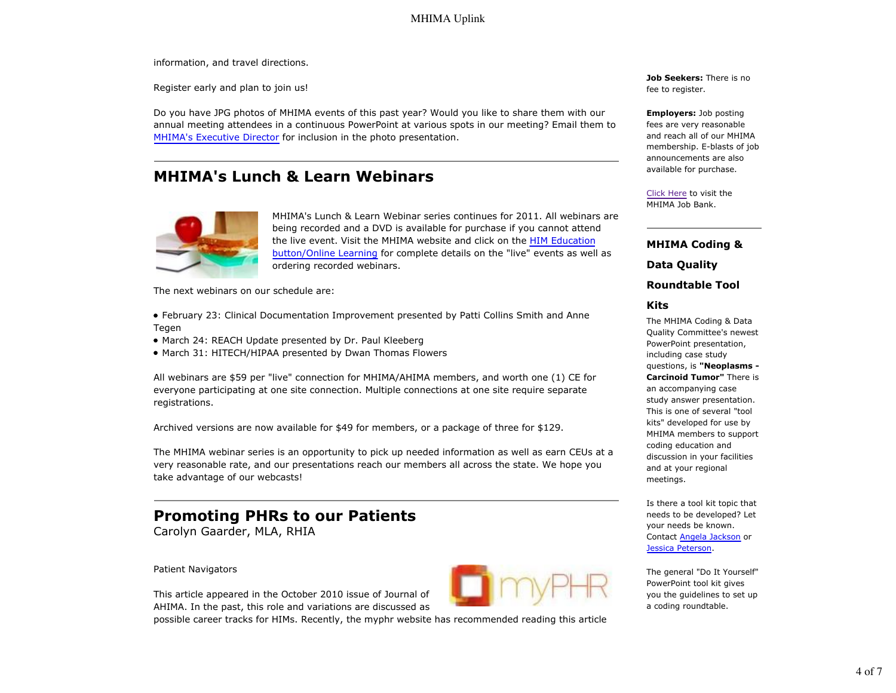information, and travel directions.

Register early and plan to join us!

Do you have JPG photos of MHIMA events of this past year? Would you like to share them with our annual meeting attendees in a continuous PowerPoint at various spots in our meeting? Email them to MHIMA's Executive Director for inclusion in the photo presentation.

## **MHIMA's Lunch & Learn Webinars**



MHIMA's Lunch & Learn Webinar series continues for 2011. All webinars are being recorded and a DVD is available for purchase if you cannot attend the live event. Visit the MHIMA website and click on the HIM Education button/Online Learning for complete details on the "live" events as well as ordering recorded webinars.

The next webinars on our schedule are:

- February 23: Clinical Documentation Improvement presented by Patti Collins Smith and Anne Tegen
- March 24: REACH Update presented by Dr. Paul Kleeberg
- March 31: HITECH/HIPAA presented by Dwan Thomas Flowers

All webinars are \$59 per "live" connection for MHIMA/AHIMA members, and worth one (1) CE for everyone participating at one site connection. Multiple connections at one site require separate registrations.

Archived versions are now available for \$49 for members, or a package of three for \$129.

The MHIMA webinar series is an opportunity to pick up needed information as well as earn CEUs at a very reasonable rate, and our presentations reach our members all across the state. We hope you take advantage of our webcasts!

## **Promoting PHRs to our Patients**

Carolyn Gaarder, MLA, RHIA

Patient Navigators

This article appeared in the October 2010 issue of Journal of AHIMA. In the past, this role and variations are discussed as

possible career tracks for HIMs. Recently, the myphr website has recommended reading this article

**Job Seekers:** There is no fee to register.

**Employers:** Job posting fees are very reasonable and reach all of our MHIMA membership. E-blasts of job announcements are also available for purchase.

Click Here to visit the MHIMA Job Bank.

**MHIMA Coding &**

**Data Quality**

**Roundtable Tool**

#### **Kits**

The MHIMA Coding & Data Quality Committee's newest PowerPoint presentation, including case study questions, is **"Neoplasms - Carcinoid Tumor"** There is an accompanying case study answer presentation. This is one of several "tool kits" developed for use by MHIMA members to support coding education and discussion in your facilities and at your regional meetings.

Is there a tool kit topic that needs to be developed? Let your needs be known. Contact Angela Jackson or Jessica Peterson.

The general "Do It Yourself" PowerPoint tool kit gives you the guidelines to set up a coding roundtable.

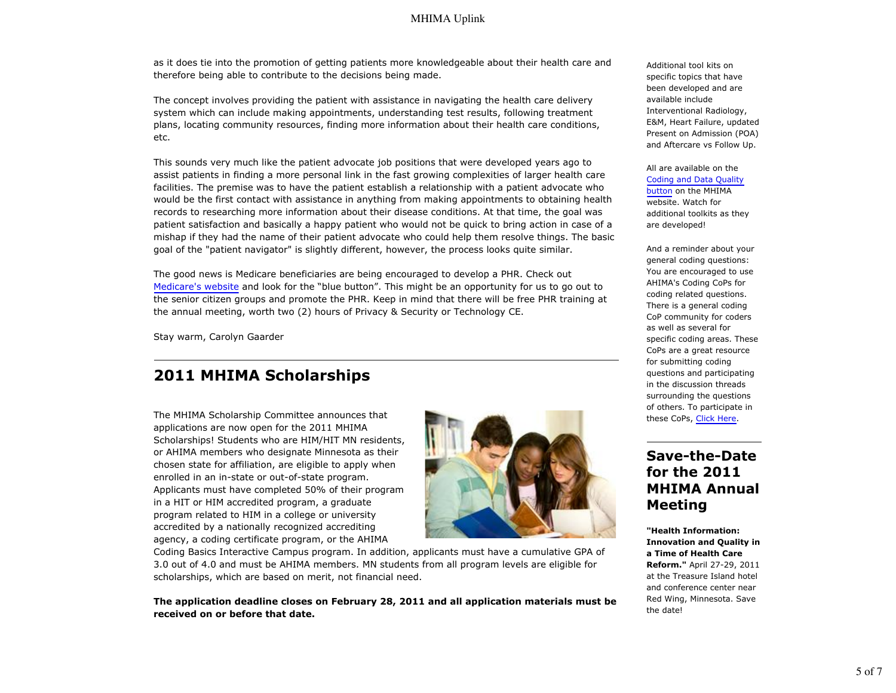as it does tie into the promotion of getting patients more knowledgeable about their health care and therefore being able to contribute to the decisions being made.

The concept involves providing the patient with assistance in navigating the health care delivery system which can include making appointments, understanding test results, following treatment plans, locating community resources, finding more information about their health care conditions, etc.

This sounds very much like the patient advocate job positions that were developed years ago to assist patients in finding a more personal link in the fast growing complexities of larger health care facilities. The premise was to have the patient establish a relationship with a patient advocate who would be the first contact with assistance in anything from making appointments to obtaining health records to researching more information about their disease conditions. At that time, the goal was patient satisfaction and basically a happy patient who would not be quick to bring action in case of a mishap if they had the name of their patient advocate who could help them resolve things. The basic goal of the "patient navigator" is slightly different, however, the process looks quite similar.

The good news is Medicare beneficiaries are being encouraged to develop a PHR. Check out Medicare's website and look for the "blue button". This might be an opportunity for us to go out to the senior citizen groups and promote the PHR. Keep in mind that there will be free PHR training at the annual meeting, worth two (2) hours of Privacy & Security or Technology CE.

Stay warm, Carolyn Gaarder

## **2011 MHIMA Scholarships**

The MHIMA Scholarship Committee announces that applications are now open for the 2011 MHIMA Scholarships! Students who are HIM/HIT MN residents, or AHIMA members who designate Minnesota as their chosen state for affiliation, are eligible to apply when enrolled in an in-state or out-of-state program. Applicants must have completed 50% of their program in a HIT or HIM accredited program, a graduate program related to HIM in a college or university accredited by a nationally recognized accrediting agency, a coding certificate program, or the AHIMA



Coding Basics Interactive Campus program. In addition, applicants must have a cumulative GPA of 3.0 out of 4.0 and must be AHIMA members. MN students from all program levels are eligible for scholarships, which are based on merit, not financial need.

**The application deadline closes on February 28, 2011 and all application materials must be received on or before that date.**

Additional tool kits on specific topics that have been developed and are available include Interventional Radiology, E&M, Heart Failure, updated Present on Admission (POA) and Aftercare vs Follow Up.

All are available on the Coding and Data Quality button on the MHIMA website. Watch for additional toolkits as they are developed!

And a reminder about your general coding questions: You are encouraged to use AHIMA's Coding CoPs for coding related questions. There is a general coding CoP community for coders as well as several for specific coding areas. These CoPs are a great resource for submitting coding questions and participating in the discussion threads surrounding the questions of others. To participate in these CoPs, Click Here.

## **Save-the-Date for the 2011 MHIMA Annual Meeting**

**"Health Information: Innovation and Quality in a Time of Health Care Reform."** April 27-29, 2011 at the Treasure Island hotel and conference center near Red Wing, Minnesota. Save the date!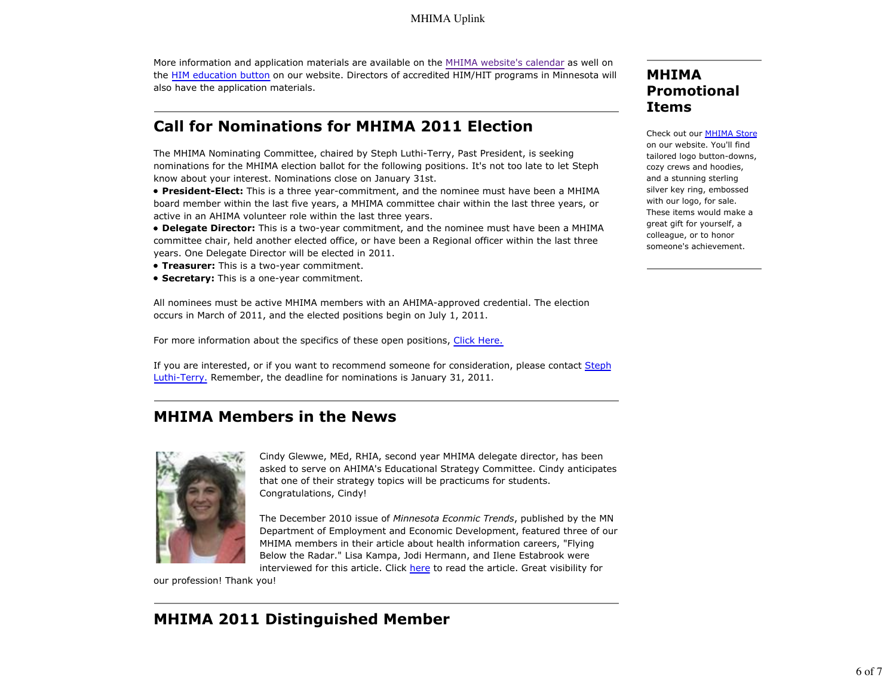More information and application materials are available on the MHIMA website's calendar as well on the HIM education button on our website. Directors of accredited HIM/HIT programs in Minnesota will also have the application materials.

## **Call for Nominations for MHIMA 2011 Election**

The MHIMA Nominating Committee, chaired by Steph Luthi-Terry, Past President, is seeking nominations for the MHIMA election ballot for the following positions. It's not too late to let Steph know about your interest. Nominations close on January 31st.

**President-Elect:** This is a three year-commitment, and the nominee must have been a MHIMA board member within the last five years, a MHIMA committee chair within the last three years, or active in an AHIMA volunteer role within the last three years.

**Delegate Director:** This is a two-year commitment, and the nominee must have been a MHIMA committee chair, held another elected office, or have been a Regional officer within the last three years. One Delegate Director will be elected in 2011.

- **Treasurer:** This is a two-year commitment.
- **Secretary:** This is a one-year commitment.

All nominees must be active MHIMA members with an AHIMA-approved credential. The election occurs in March of 2011, and the elected positions begin on July 1, 2011.

For more information about the specifics of these open positions, Click Here.

If you are interested, or if you want to recommend someone for consideration, please contact Steph Luthi-Terry. Remember, the deadline for nominations is January 31, 2011.

## **MHIMA Members in the News**



Cindy Glewwe, MEd, RHIA, second year MHIMA delegate director, has been asked to serve on AHIMA's Educational Strategy Committee. Cindy anticipates that one of their strategy topics will be practicums for students. Congratulations, Cindy!

The December 2010 issue of *Minnesota Econmic Trends*, published by the MN Department of Employment and Economic Development, featured three of our MHIMA members in their article about health information careers, "Flying Below the Radar." Lisa Kampa, Jodi Hermann, and Ilene Estabrook were interviewed for this article. Click here to read the article. Great visibility for

our profession! Thank you!

## **MHIMA 2011 Distinguished Member**

## **MHIMA Promotional Items**

Check out our MHIMA Store on our website. You'll find tailored logo button-downs, cozy crews and hoodies, and a stunning sterling silver key ring, embossed with our logo, for sale. These items would make a great gift for yourself, a colleague, or to honor someone's achievement.